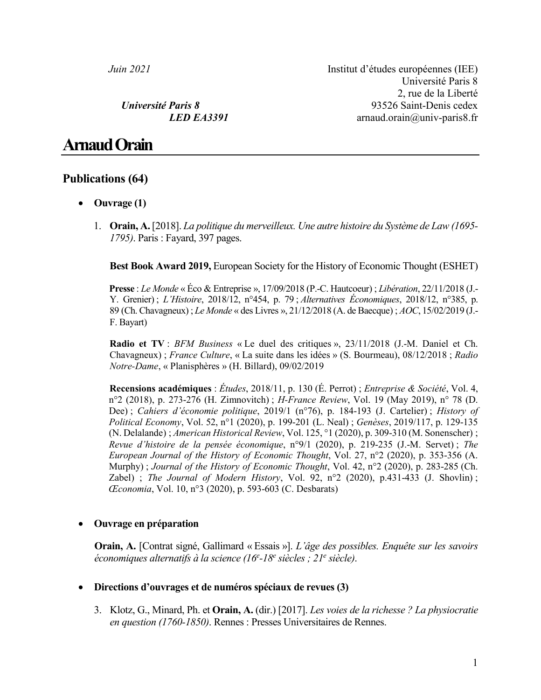*Juin 2021* Institut d'études européennes (IEE) Université Paris 8 2, rue de la Liberté *Université Paris 8* 93526 Saint-Denis cedex *LED EA3391* arnaud.orain@univ-paris8.fr

# **Arnaud Orain**

# **Publications (64)**

- **Ouvrage (1)**
	- 1. **Orain, A.**[2018]. *La politique du merveilleux. Une autre histoire du Système de Law (1695- 1795)*. Paris : Fayard, 397 pages.

**Best Book Award 2019,** European Society for the History of Economic Thought (ESHET)

**Presse** : *Le Monde* « Éco & Entreprise », 17/09/2018 (P.-C. Hautcoeur) ; *Libération*, 22/11/2018 (J.- Y. Grenier) ; *L'Histoire*, 2018/12, n°454, p. 79 ; *Alternatives Économiques*, 2018/12, n°385, p. 89 (Ch. Chavagneux) ; *Le Monde* « des Livres », 21/12/2018 (A. de Baecque) ; *AOC*, 15/02/2019 (J.- F. Bayart)

**Radio et TV** : *BFM Business* « Le duel des critiques », 23/11/2018 (J.-M. Daniel et Ch. Chavagneux) ; *France Culture*, « La suite dans les idées » (S. Bourmeau), 08/12/2018 ; *Radio Notre-Dame*, « Planisphères » (H. Billard), 09/02/2019

**Recensions académiques** : *Études*, 2018/11, p. 130 (É. Perrot) ; *Entreprise & Société*, Vol. 4, n°2 (2018), p. 273-276 (H. Zimnovitch) ; *H-France Review*, Vol. 19 (May 2019), n° 78 (D. Dee) ; *Cahiers d'économie politique*, 2019/1 (n°76), p. 184-193 (J. Cartelier) ; *History of Political Economy*, Vol. 52, n°1 (2020), p. 199-201 (L. Neal) ; *Genèses*, 2019/117, p. 129-135 (N. Delalande) ; *American Historical Review*, Vol. 125, °1 (2020), p. 309-310 (M. Sonenscher) ; *Revue d'histoire de la pensée économique*, n°9/1 (2020), p. 219-235 (J.-M. Servet) ; *The European Journal of the History of Economic Thought*, Vol. 27, n°2 (2020), p. 353-356 (A. Murphy) ; *Journal of the History of Economic Thought*, Vol. 42, n°2 (2020), p. 283-285 (Ch. Zabel) ; *The Journal of Modern History*, Vol. 92, n°2 (2020), p.431-433 (J. Shovlin) ; *Œconomia*, Vol. 10, n°3 (2020), p. 593-603 (C. Desbarats)

## • **Ouvrage en préparation**

**Orain, A.** [Contrat signé, Gallimard « Essais »]. *L'âge des possibles. Enquête sur les savoirs économiques alternatifs à la science (16e -18e siècles ; 21e siècle)*.

### • **Directions d'ouvrages et de numéros spéciaux de revues (3)**

3. Klotz, G., Minard, Ph. et **Orain, A.** (dir.) [2017]. *Les voies de la richesse ? La physiocratie en question (1760-1850)*. Rennes : Presses Universitaires de Rennes.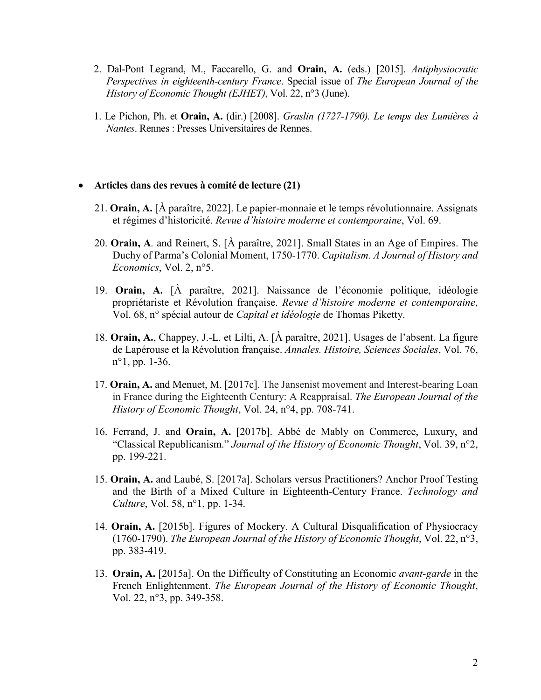- 2. Dal-Pont Legrand, M., Faccarello, G. and **Orain, A.** (eds.) [2015]. *Antiphysiocratic Perspectives in eighteenth-century France*. Special issue of *The European Journal of the History of Economic Thought (EJHET)*, Vol. 22, n°3 (June).
- 1. Le Pichon, Ph. et **Orain, A.** (dir.) [2008]. *Graslin (1727-1790). Le temps des Lumières à Nantes*. Rennes : Presses Universitaires de Rennes.

#### • **Articles dans des revues à comité de lecture (21)**

- 21. **Orain, A.** [À paraître, 2022]. Le papier-monnaie et le temps révolutionnaire. Assignats et régimes d'historicité. *Revue d'histoire moderne et contemporaine*, Vol. 69.
- 20. **Orain, A***.* and Reinert, S. [À paraître, 2021]. Small States in an Age of Empires. The Duchy of Parma's Colonial Moment, 1750-1770. *Capitalism. A Journal of History and Economics*, Vol. 2, n°5.
- 19. **Orain, A.** [À paraître, 2021]. Naissance de l'économie politique, idéologie propriétariste et Révolution française. *Revue d'histoire moderne et contemporaine*, Vol. 68, n° spécial autour de *Capital et idéologie* de Thomas Piketty.
- 18. **Orain, A.**, Chappey, J.-L. et Lilti, A. [À paraître, 2021]. Usages de l'absent. La figure de Lapérouse et la Révolution française. *Annales. Histoire, Sciences Sociales*, Vol. 76, n°1, pp. 1-36.
- 17. **Orain, A.** and Menuet, M. [2017c]. The Jansenist movement and Interest-bearing Loan in France during the Eighteenth Century: A Reappraisal. *The European Journal of the History of Economic Thought*, Vol. 24, n°4, pp. 708-741.
- 16. Ferrand, J. and **Orain, A.** [2017b]. Abbé de Mably on Commerce, Luxury, and "Classical Republicanism." *Journal of the History of Economic Thought*, Vol. 39, n°2, pp. 199-221.
- 15. **Orain, A.** and Laubé, S. [2017a]. Scholars versus Practitioners? Anchor Proof Testing and the Birth of a Mixed Culture in Eighteenth-Century France. *Technology and Culture*, Vol. 58, n°1, pp. 1-34.
- 14. **Orain, A.** [2015b]. Figures of Mockery. A Cultural Disqualification of Physiocracy (1760-1790). *The European Journal of the History of Economic Thought*, Vol. 22, n°3, pp. 383-419.
- 13. **Orain, A.** [2015a]. On the Difficulty of Constituting an Economic *avant-garde* in the French Enlightenment. *The European Journal of the History of Economic Thought*, Vol. 22, n°3, pp. 349-358.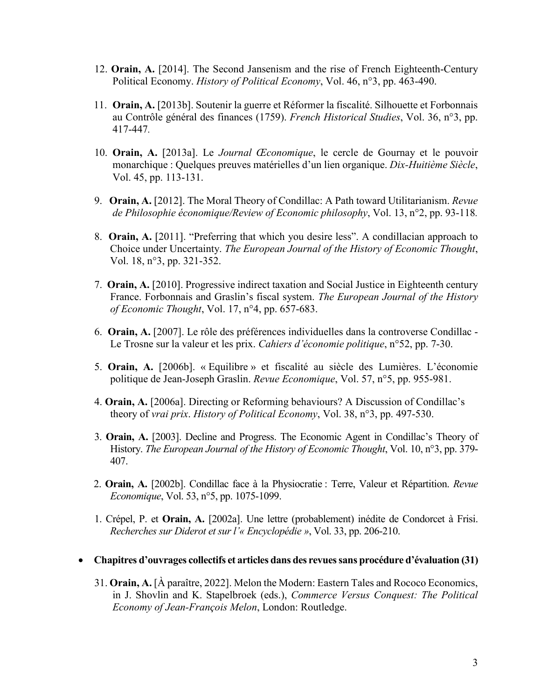- 12. **Orain, A.** [2014]. The Second Jansenism and the rise of French Eighteenth-Century Political Economy. *History of Political Economy*, Vol. 46, n°3, pp. 463-490.
- 11. **Orain, A.** [2013b]. Soutenir la guerre et Réformer la fiscalité. Silhouette et Forbonnais au Contrôle général des finances (1759). *French Historical Studies*, Vol. 36, n°3, pp. 417-447*.*
- 10. **Orain, A.** [2013a]. Le *Journal Œconomique*, le cercle de Gournay et le pouvoir monarchique : Quelques preuves matérielles d'un lien organique. *Dix-Huitième Siècle*, Vol. 45, pp. 113-131.
- 9.**Orain, A.** [2012]. The Moral Theory of Condillac: A Path toward Utilitarianism. *Revue de Philosophie économique/Review of Economic philosophy*, Vol. 13, n°2, pp. 93-118*.*
- 8. **Orain, A.** [2011]. "Preferring that which you desire less". A condillacian approach to Choice under Uncertainty. *The European Journal of the History of Economic Thought*, Vol. 18, n°3, pp. 321-352.
- 7. **Orain, A.** [2010]. Progressive indirect taxation and Social Justice in Eighteenth century France. Forbonnais and Graslin's fiscal system. *The European Journal of the History of Economic Thought*, Vol. 17, n°4, pp. 657-683.
- 6. **Orain, A.** [2007]. Le rôle des préférences individuelles dans la controverse Condillac Le Trosne sur la valeur et les prix. *Cahiers d'économie politique*, n°52, pp. 7-30.
- 5. **Orain, A.** [2006b]. « Equilibre » et fiscalité au siècle des Lumières. L'économie politique de Jean-Joseph Graslin. *Revue Economique*, Vol. 57, n°5, pp. 955-981.
- 4. **Orain, A.** [2006a]. Directing or Reforming behaviours? A Discussion of Condillac's theory of *vrai prix*. *History of Political Economy*, Vol. 38, n°3, pp. 497-530.
- 3. **Orain, A.** [2003]. Decline and Progress. The Economic Agent in Condillac's Theory of History. *The European Journal of the History of Economic Thought*, Vol. 10, n°3, pp. 379- 407.
- 2. **Orain, A.** [2002b]. Condillac face à la Physiocratie : Terre, Valeur et Répartition. *Revue Economique*, Vol. 53, n°5, pp. 1075-1099.
- 1. Crépel, P. et **Orain, A.** [2002a]. Une lettre (probablement) inédite de Condorcet à Frisi. *Recherches sur Diderot et sur l'« Encyclopédie »*, Vol. 33, pp. 206-210.

#### • **Chapitres d'ouvrages collectifs et articles dans des revues sans procédure d'évaluation (31)**

31. **Orain, A.** [À paraître, 2022]. Melon the Modern: Eastern Tales and Rococo Economics, in J. Shovlin and K. Stapelbroek (eds.), *Commerce Versus Conquest: The Political Economy of Jean-François Melon*, London: Routledge.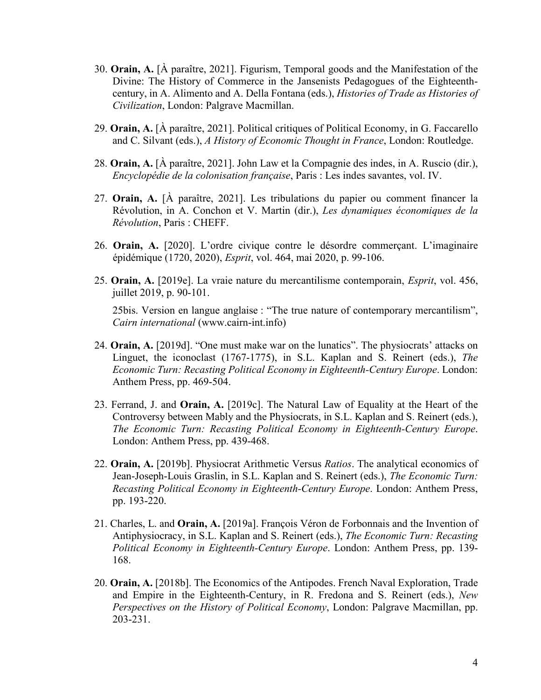- 30. **Orain, A.** [À paraître, 2021]. Figurism, Temporal goods and the Manifestation of the Divine: The History of Commerce in the Jansenists Pedagogues of the Eighteenthcentury, in A. Alimento and A. Della Fontana (eds.), *Histories of Trade as Histories of Civilization*, London: Palgrave Macmillan.
- 29. **Orain, A.** [À paraître, 2021]. Political critiques of Political Economy, in G. Faccarello and C. Silvant (eds.), *A History of Economic Thought in France*, London: Routledge.
- 28. **Orain, A.** [À paraître, 2021]. John Law et la Compagnie des indes, in A. Ruscio (dir.), *Encyclopédie de la colonisation française*, Paris : Les indes savantes, vol. IV.
- 27. **Orain, A.** [À paraître, 2021]. Les tribulations du papier ou comment financer la Révolution, in A. Conchon et V. Martin (dir.), *Les dynamiques économiques de la Révolution*, Paris : CHEFF.
- 26. **Orain, A.** [2020]. L'ordre civique contre le désordre commerçant. L'imaginaire épidémique (1720, 2020), *Esprit*, vol. 464, mai 2020, p. 99-106.
- 25. **Orain, A.** [2019e]. La vraie nature du mercantilisme contemporain, *Esprit*, vol. 456, juillet 2019, p. 90-101.

25bis. Version en langue anglaise : "The true nature of contemporary mercantilism", *Cairn international* (www.cairn-int.info)

- 24. **Orain, A.** [2019d]. "One must make war on the lunatics". The physiocrats' attacks on Linguet, the iconoclast (1767-1775), in S.L. Kaplan and S. Reinert (eds.), *The Economic Turn: Recasting Political Economy in Eighteenth-Century Europe*. London: Anthem Press, pp. 469-504.
- 23. Ferrand, J. and **Orain, A.** [2019c]. The Natural Law of Equality at the Heart of the Controversy between Mably and the Physiocrats, in S.L. Kaplan and S. Reinert (eds.), *The Economic Turn: Recasting Political Economy in Eighteenth-Century Europe*. London: Anthem Press, pp. 439-468.
- 22. **Orain, A.** [2019b]. Physiocrat Arithmetic Versus *Ratios*. The analytical economics of Jean-Joseph-Louis Graslin, in S.L. Kaplan and S. Reinert (eds.), *The Economic Turn: Recasting Political Economy in Eighteenth-Century Europe*. London: Anthem Press, pp. 193-220.
- 21. Charles, L. and **Orain, A.** [2019a]. François Véron de Forbonnais and the Invention of Antiphysiocracy, in S.L. Kaplan and S. Reinert (eds.), *The Economic Turn: Recasting Political Economy in Eighteenth-Century Europe*. London: Anthem Press, pp. 139- 168.
- 20. **Orain, A.** [2018b]. The Economics of the Antipodes. French Naval Exploration, Trade and Empire in the Eighteenth-Century, in R. Fredona and S. Reinert (eds.), *New Perspectives on the History of Political Economy*, London: Palgrave Macmillan, pp. 203-231.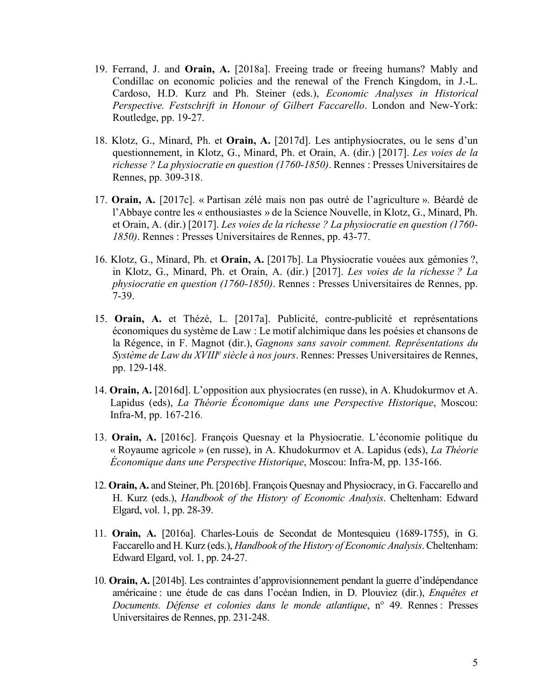- 19. Ferrand, J. and **Orain, A.** [2018a]. Freeing trade or freeing humans? Mably and Condillac on economic policies and the renewal of the French Kingdom, in J.-L. Cardoso, H.D. Kurz and Ph. Steiner (eds.), *Economic Analyses in Historical Perspective. Festschrift in Honour of Gilbert Faccarello*. London and New-York: Routledge, pp. 19-27.
- 18. Klotz, G., Minard, Ph. et **Orain, A.** [2017d]. Les antiphysiocrates, ou le sens d'un questionnement, in Klotz, G., Minard, Ph. et Orain, A. (dir.) [2017]. *Les voies de la richesse ? La physiocratie en question (1760-1850)*. Rennes : Presses Universitaires de Rennes, pp. 309-318.
- 17. **Orain, A.** [2017c]. « Partisan zélé mais non pas outré de l'agriculture ». Béardé de l'Abbaye contre les « enthousiastes » de la Science Nouvelle, in Klotz, G., Minard, Ph. et Orain, A. (dir.) [2017]. *Les voies de la richesse ? La physiocratie en question (1760- 1850)*. Rennes : Presses Universitaires de Rennes, pp. 43-77.
- 16. Klotz, G., Minard, Ph. et **Orain, A.** [2017b]. La Physiocratie vouées aux gémonies ?, in Klotz, G., Minard, Ph. et Orain, A. (dir.) [2017]. *Les voies de la richesse ? La physiocratie en question (1760-1850)*. Rennes : Presses Universitaires de Rennes, pp. 7-39.
- 15. **Orain, A.** et Thézé, L. [2017a]. Publicité, contre-publicité et représentations économiques du système de Law : Le motif alchimique dans les poésies et chansons de la Régence, in F. Magnot (dir.), *Gagnons sans savoir comment. Représentations du Système de Law du XVIIIe siècle à nos jours*. Rennes: Presses Universitaires de Rennes, pp. 129-148.
- 14. **Orain, A.** [2016d]. L'opposition aux physiocrates (en russe), in A. Khudokurmov et A. Lapidus (eds), *La Théorie Économique dans une Perspective Historique*, Moscou: Infra-M, pp. 167-216.
- 13. **Orain, A.** [2016c]. François Quesnay et la Physiocratie. L'économie politique du « Royaume agricole » (en russe), in A. Khudokurmov et A. Lapidus (eds), *La Théorie Économique dans une Perspective Historique*, Moscou: Infra-M, pp. 135-166.
- 12. **Orain, A.** and Steiner, Ph. [2016b]. François Quesnay and Physiocracy, in G. Faccarello and H. Kurz (eds.), *Handbook of the History of Economic Analysis*. Cheltenham: Edward Elgard, vol. 1, pp. 28-39.
- 11. **Orain, A.** [2016a]. Charles-Louis de Secondat de Montesquieu (1689-1755), in G. Faccarello and H. Kurz (eds.), *Handbook of the History of Economic Analysis*. Cheltenham: Edward Elgard, vol. 1, pp. 24-27.
- 10. **Orain, A.** [2014b]. Les contraintes d'approvisionnement pendant la guerre d'indépendance américaine : une étude de cas dans l'océan Indien, in D. Plouviez (dir.), *Enquêtes et Documents. Défense et colonies dans le monde atlantique*, n° 49. Rennes : Presses Universitaires de Rennes, pp. 231-248.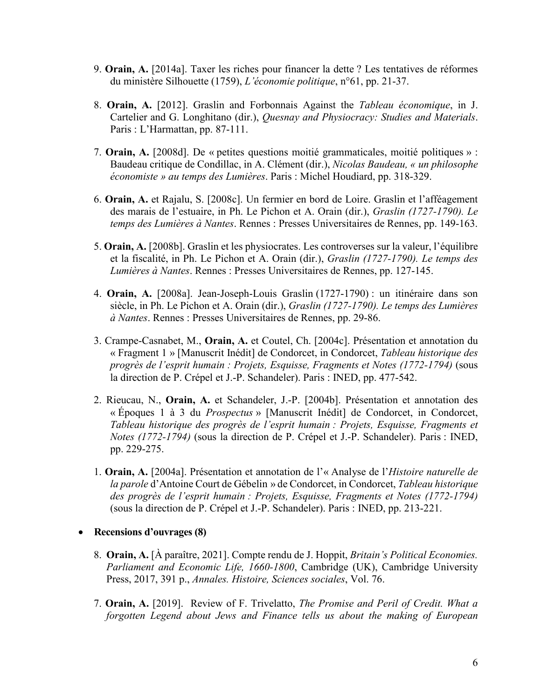- 9. **Orain, A.** [2014a]. Taxer les riches pour financer la dette ? Les tentatives de réformes du ministère Silhouette (1759), *L'économie politique*, n°61, pp. 21-37.
- 8. **Orain, A.** [2012]. Graslin and Forbonnais Against the *Tableau économique*, in J. Cartelier and G. Longhitano (dir.), *Quesnay and Physiocracy: Studies and Materials*. Paris : L'Harmattan, pp. 87-111.
- 7. **Orain, A.** [2008d]. De « petites questions moitié grammaticales, moitié politiques » : Baudeau critique de Condillac, in A. Clément (dir.), *Nicolas Baudeau, « un philosophe économiste » au temps des Lumières*. Paris : Michel Houdiard, pp. 318-329.
- 6. **Orain, A.** et Rajalu, S. [2008c]. Un fermier en bord de Loire. Graslin et l'afféagement des marais de l'estuaire, in Ph. Le Pichon et A. Orain (dir.), *Graslin (1727-1790). Le temps des Lumières à Nantes*. Rennes : Presses Universitaires de Rennes, pp. 149-163.
- 5. **Orain, A.** [2008b]. Graslin et les physiocrates. Les controverses sur la valeur, l'équilibre et la fiscalité, in Ph. Le Pichon et A. Orain (dir.), *Graslin (1727-1790). Le temps des Lumières à Nantes*. Rennes : Presses Universitaires de Rennes, pp. 127-145.
- 4. **Orain, A.** [2008a]. Jean-Joseph-Louis Graslin (1727-1790) : un itinéraire dans son siècle, in Ph. Le Pichon et A. Orain (dir.), *Graslin (1727-1790). Le temps des Lumières à Nantes*. Rennes : Presses Universitaires de Rennes, pp. 29-86.
- 3. Crampe-Casnabet, M., **Orain, A.** et Coutel, Ch. [2004c]. Présentation et annotation du « Fragment 1 » [Manuscrit Inédit] de Condorcet, in Condorcet, *Tableau historique des progrès de l'esprit humain : Projets, Esquisse, Fragments et Notes (1772-1794)* (sous la direction de P. Crépel et J.-P. Schandeler). Paris : INED, pp. 477-542.
- 2. Rieucau, N., **Orain, A.** et Schandeler, J.-P. [2004b]. Présentation et annotation des « Époques 1 à 3 du *Prospectus* » [Manuscrit Inédit] de Condorcet, in Condorcet, *Tableau historique des progrès de l'esprit humain : Projets, Esquisse, Fragments et Notes (1772-1794)* (sous la direction de P. Crépel et J.-P. Schandeler). Paris : INED, pp. 229-275.
- 1. **Orain, A.** [2004a]. Présentation et annotation de l'« Analyse de l'*Histoire naturelle de la parole* d'Antoine Court de Gébelin » de Condorcet, in Condorcet, *Tableau historique des progrès de l'esprit humain : Projets, Esquisse, Fragments et Notes (1772-1794)* (sous la direction de P. Crépel et J.-P. Schandeler). Paris : INED, pp. 213-221.
- **Recensions d'ouvrages (8)**
	- 8. **Orain, A.** [À paraître, 2021]. Compte rendu de J. Hoppit, *Britain's Political Economies. Parliament and Economic Life, 1660-1800*, Cambridge (UK), Cambridge University Press, 2017, 391 p., *Annales. Histoire, Sciences sociales*, Vol. 76.
	- 7. **Orain, A.** [2019]. Review of F. Trivelatto, *The Promise and Peril of Credit. What a forgotten Legend about Jews and Finance tells us about the making of European*